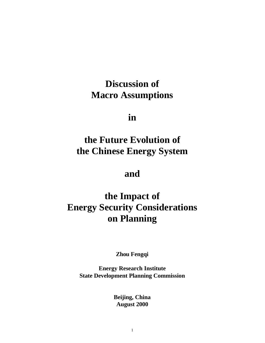# **Discussion of Macro Assumptions**

**in**

# **the Future Evolution of the Chinese Energy System**

# **and**

# **the Impact of Energy Security Considerations on Planning**

**Zhou Fengqi**

**Energy Research Institute State Development Planning Commission**

> **Beijing, China August 2000**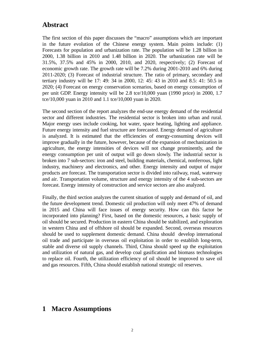## **Abstract**

The first section of this paper discusses the "macro" assumptions which are important in the future evolution of the Chinese energy system. Main points include: (1) Forecasts for population and urbanization rate. The population will be 1.28 billion in 2000, 1.38 billion in 2010 and 1.48 billion in 2020. The urbanization rate will be 31.5%, 37.5% and 45% in 2000, 2010, and 2020, respectively; (2) Forecast of economic growth rate. The growth rate will be 7.2% during 2001-2010 and 6% during 2011-2020; (3) Forecast of industrial structure. The ratio of primary, secondary and tertiary industry will be 17: 49: 34 in 2000, 12: 45: 43 in 2010 and 8.5: 41: 50.5 in 2020; (4) Forecast on energy conservation scenarios, based on energy consumption of per unit GDP. Energy intensity will be 2.8 tce/10,000 yuan (1990 price) in 2000, 1.7 tce/10,000 yuan in 2010 and 1.1 tce/10,000 yuan in 2020.

The second section of the report analyzes the end-use energy demand of the residential sector and different industries. The residential sector is broken into urban and rural. Major energy uses include cooking, hot water, space heating, lighting and appliance. Future energy intensity and fuel structure are forecasted. Energy demand of agriculture is analyzed. It is estimated that the efficiencies of energy-consuming devices will improve gradually in the future, however, because of the expansion of mechanization in agriculture, the energy intensities of devices will not change prominently, and the energy consumption per unit of output will go down slowly. The industrial sector is broken into 7 sub-sectors: iron and steel, building materials, chemical, nonferrous, light industry, machinery and electronics, and other. Energy intensity and output of major products are forecast. The transportation sector is divided into railway, road, waterway and air. Transportation volume, structure and energy intensity of the 4 sub-sectors are forecast. Energy intensity of construction and service sectors are also analyzed.

Finally, the third section analyzes the current situation of supply and demand of oil, and the future development trend. Domestic oil production will only meet 47% of demand in 2015 and China will face issues of energy security. How can this factor be incorporated into planning? First, based on the domestic resources, a basic supply of oil should be secured. Production in eastern China should be stabilized, and exploration in western China and of offshore oil should be expanded. Second, overseas resources should be used to supplement domestic demand. China should develop international oil trade and participate in overseas oil exploitation in order to establish long-term, stable and diverse oil supply channels. Third, China should speed up the exploitation and utilization of natural gas, and develop coal gasification and biomass technologies to replace oil. Fourth, the utilization efficiency of oil should be improved to save oil and gas resources. Fifth, China should establish national strategic oil reserves.

## **1 Macro Assumptions**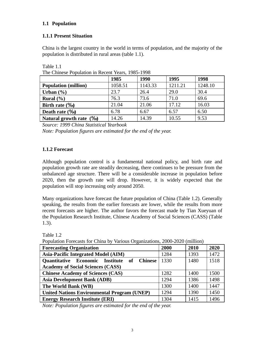#### **1.1 Population**

Table 1.1

#### **1.1.1 Present Situation**

China is the largest country in the world in terms of population, and the majority of the population is distributed in rural areas (table 1.1).

| The Chinese I opening in Recent Teams, 1969 1996 |         |         |         |         |  |
|--------------------------------------------------|---------|---------|---------|---------|--|
|                                                  | 1985    | 1990    | 1995    | 1998    |  |
| <b>Population (million)</b>                      | 1058.51 | 1143.33 | 1211.21 | 1248.10 |  |
| Urban $(\% )$                                    | 23.7    | 26.4    | 29.0    | 30.4    |  |
| <b>Rural</b> $(\frac{6}{6})$                     | 76.3    | 73.6    | 71.0    | 69.6    |  |
| Birth rate (‰)                                   | 21.04   | 21.06   | 17.12   | 16.03   |  |
| Death rate (‰)                                   | 6.78    | 6.67    | 6.57    | 6.50    |  |
| Natural growth rate (\%o)                        | 14.26   | 14.39   | 10.55   | 9.53    |  |

The Chinese Population in Recent Years, 1985-1998

*Source: 1999 China Statistical Yearbook*

*Note: Population figures are estimated for the end of the year.*

#### **1.1.2 Forecast**

Although population control is a fundamental national policy, and birth rate and population growth rate are steadily decreasing, there continues to be pressure from the unbalanced age structure. There will be a considerable increase in population before 2020, then the growth rate will drop. However, it is widely expected that the population will stop increasing only around 2050.

Many organizations have forecast the future population of China (Table 1.2). Generally speaking, the results from the earlier forecasts are lower, while the results from more recent forecasts are higher. The author favors the forecast made by Tian Xueyuan of the Population Research Institute, Chinese Academy of Social Sciences (CASS) (Table 1.3).

Table 1.2

Population Forecasts for China by Various Organizations, 2000-2020 (million)

| <b>Forecasting Organization</b>                      | 2000 | 2010 | 2020 |
|------------------------------------------------------|------|------|------|
| <b>Asia-Pacific Integrated Model (AIM)</b>           | 1284 | 1393 | 1472 |
| Quantitative Economic Institute of<br><b>Chinese</b> | 1330 | 1480 | 1518 |
| <b>Academy of Social Sciences (CASS)</b>             |      |      |      |
| <b>Chinese Academy of Sciences (CAS)</b>             | 1282 | 1400 | 1500 |
| <b>Asia Development Bank (ADB)</b>                   | 1294 | 1386 | 1498 |
| The World Bank (WB)                                  | 1300 | 1400 | 1447 |
| <b>United Nations Environmental Program (UNEP)</b>   | 1294 | 1390 | 1450 |
| <b>Energy Research Institute (ERI)</b>               | 1304 | 1415 | 1496 |

*Note: Population figures are estimated for the end of the year.*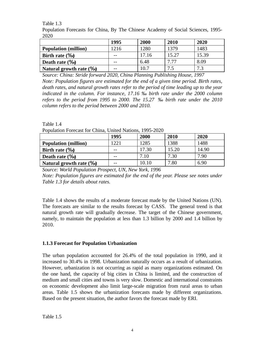Table 1.3

| ZUZU                        |      |       |       |       |
|-----------------------------|------|-------|-------|-------|
|                             | 1995 | 2000  | 2010  | 2020  |
| <b>Population (million)</b> | 1216 | 1280  | 1379  | 1483  |
| Birth rate (‰)              | --   | 17.16 | 15.27 | 15.39 |
| Death rate (‰)              | --   | 6.48  | 7.77  | 8.09  |
| Natural growth rate (‰)     | --   | 10.7  | 7.5   | 7.3   |

Population Forecasts for China, By The Chinese Academy of Social Sciences, 1995-  $2020$ 

*Source: China: Stride forward 2020, China Planning Publishing House, 1997 Note: Population figures are estimated for the end of a given time period. Birth rates, death rates, and natural growth rates refer to the period of time leading up to the year indicated in the column. For instance, 17.16 ‰ birth rate under the 2000 column refers to the period from 1995 to 2000. The 15.27 ‰ birth rate under the 2010 column refers to the period between 2000 and 2010.*

| Table 1.4                                                |  |
|----------------------------------------------------------|--|
| Population Forecast for China, United Nations, 1995-2020 |  |

|                                   | 1995  | 2000  | 2010  | 2020  |
|-----------------------------------|-------|-------|-------|-------|
| <b>Population (million)</b>       | 22.1  | 1285  | 1388  | 1488  |
| Birth rate (‰)                    | $- -$ | 17.30 | 15.20 | 14.90 |
| Death rate $\mathcal{C}_{\infty}$ | $- -$ | 7.10  | 7.30  | 7.90  |
| Natural growth rate (‰)           | $- -$ | 10.10 | 7.80  | 6.90  |

*Source: World Population Prospect, UN, New York, 1996*

*Note: Population figures are estimated for the end of the year. Please see notes under Table 1.3 for details about rates.*

Table 1.4 shows the results of a moderate forecast made by the United Nations (UN). The forecasts are similar to the results forecast by CASS. The general trend is that natural growth rate will gradually decrease. The target of the Chinese government, namely, to maintain the population at less than 1.3 billion by 2000 and 1.4 billion by 2010.

#### **1.1.3 Forecast for Population Urbanization**

The urban population accounted for 26.4% of the total population in 1990, and it increased to 30.4% in 1998. Urbanization naturally occurs as a result of urbanization. However, urbanization is not occurring as rapid as many organizations estimated. On the one hand, the capacity of big cities in China is limited, and the construction of medium and small cities and towns is very slow. Domestic and international constraints on economic development also limit large-scale migration from rural areas to urban areas. Table 1.5 shows the urbanization forecasts made by different organizations. Based on the present situation, the author favors the forecast made by ERI.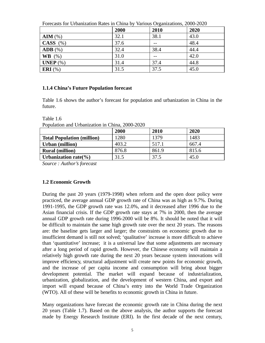| I processes for croamzation issues in china by<br>$\alpha$ various Organizations, 2000 2020 |      |      |      |  |  |
|---------------------------------------------------------------------------------------------|------|------|------|--|--|
|                                                                                             | 2000 | 2010 | 2020 |  |  |
| $\mathbf{AIM}(\%)$                                                                          | 32.1 | 38.1 | 43.0 |  |  |
| CASS $(\% )$                                                                                | 37.6 |      | 48.4 |  |  |
| ADB(%)                                                                                      | 32.4 | 38.4 | 44.4 |  |  |
| $\mathbf{W}\mathbf{B}$ (%)                                                                  | 31.0 |      | 42.0 |  |  |
| UNEP $(\%)$                                                                                 | 31.4 | 37.4 | 44.8 |  |  |
| ERI $(\%)$                                                                                  | 31.5 | 37.5 | 45.0 |  |  |

Forecasts for Urbanization Rates in China by Various Organizations, 2000-2020

#### **1.1.4 China's Future Population forecast**

Table 1.6 shows the author's forecast for population and urbanization in China in the future.

| Table 1.6 |
|-----------|
|-----------|

|  |  |  | Population and Urbanization in China, 2000-2020 |
|--|--|--|-------------------------------------------------|
|  |  |  |                                                 |

|                                   | 2000  | 2010  | 2020  |
|-----------------------------------|-------|-------|-------|
| <b>Total Population (million)</b> | 1280  | 1379  | 1483  |
| Urban (million)                   | 403.2 | 517.1 | 667.4 |
| <b>Rural</b> (million)            | 876.8 | 861.9 | 815.6 |
| Urbanization rate $(\% )$         | 31.5  | 37.5  | 45.0  |

*Source : Author's forecast*

#### **1.2 Economic Growth**

During the past 20 years (1979-1998) when reform and the open door policy were practiced, the average annual GDP growth rate of China was as high as 9.7%. During 1991-1995, the GDP growth rate was 12.0%, and it decreased after 1996 due to the Asian financial crisis. If the GDP growth rate stays at 7% in 2000, then the average annual GDP growth rate during 1996-2000 will be 8%. It should be noted that it will be difficult to maintain the same high growth rate over the next 20 years. The reasons are: the baseline gets larger and larger; the constraints on economic growth due to insufficient demand is still not solved; 'qualitative' increase is more difficult to achieve than 'quantitative' increase; it is a universal law that some adjustments are necessary after a long period of rapid growth. However, the Chinese economy will maintain a relatively high growth rate during the next 20 years because system innovations will improve efficiency, structural adjustment will create new points for economic growth, and the increase of per capita income and consumption will bring about bigger development potential. The market will expand because of industrialization, urbanization, globalization, and the development of western China, and export and import will expand because of China's entry into the World Trade Organization (WTO). All of these will be benefits to economic growth in China in future.

Many organizations have forecast the economic growth rate in China during the next 20 years (Table 1.7). Based on the above analysis, the author supports the forecast made by Energy Research Institute (ERI). In the first decade of the next century,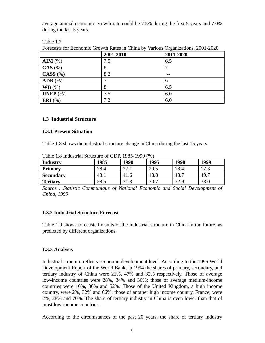average annual economic growth rate could be 7.5% during the first 5 years and 7.0% during the last 5 years.

|                            | 2001-2010 | 2011-2020 |
|----------------------------|-----------|-----------|
| $\mathbf{AIM}(\%)$         | 7.5       | 6.5       |
| CAS (%)                    | 8         |           |
| CASS (%)                   | 8.2       |           |
| $\mathbf{ADB}$ (%)         |           | 6         |
| $\mathbf{W}\mathbf{B}$ (%) | 8         | 6.5       |
| UNEP $(\%)$                | 7.5       | 6.0       |
| ERI $(\% )$                | 7.2       | 6.0       |

| Table |  |
|-------|--|
|-------|--|

| Forecasts for Economic Growth Rates in China by Various Organizations, 2001-2020 |  |  |  |
|----------------------------------------------------------------------------------|--|--|--|
|                                                                                  |  |  |  |
|                                                                                  |  |  |  |

#### **1.3 Industrial Structure**

#### **1.3.1 Present Situation**

Table 1.8 shows the industrial structure change in China during the last 15 years.

| $1.0010$ 1.10 1.110.000.1000.000.000 0.000 0.000 0.000 1.777 1.797 |      |            |      |      |      |  |  |  |  |  |
|--------------------------------------------------------------------|------|------------|------|------|------|--|--|--|--|--|
| <b>Industry</b>                                                    | 1985 | 1990       | 1995 | 1998 | 1999 |  |  |  |  |  |
| <b>Primary</b>                                                     | 28.4 | דר<br>41.I | 20.5 | 18.4 | 72   |  |  |  |  |  |
| <b>Secondary</b>                                                   | 43.1 | 41.6       | 48.8 | 48.7 | 49.7 |  |  |  |  |  |
| <b>Tertiary</b>                                                    | 28.5 | 31.3       | 30.7 | 32.9 | 33.0 |  |  |  |  |  |

Table 1.8 Industrial Structure of GDP, 1985-1999 (%)

*Source : Statistic Communique of National Economic and Social Development of China, 1999*

#### **1.3.2 Industrial Structure Forecast**

Table 1.9 shows forecasted results of the industrial structure in China in the future, as predicted by different organizations.

#### **1.3.3 Analysis**

Industrial structure reflects economic development level. According to the 1996 World Development Report of the World Bank, in 1994 the shares of primary, secondary, and tertiary industry of China were 21%, 47% and 32% respectively. Those of average low-income countries were 28%, 34% and 36%; those of average medium-income countries were 10%, 36% and 52%. Those of the United Kingdom, a high income country, were 2%, 32% and 66%; those of another high income country, France, were 2%, 28% and 70%. The share of tertiary industry in China is even lower than that of most low-income countries.

According to the circumstances of the past 20 years, the share of tertiary industry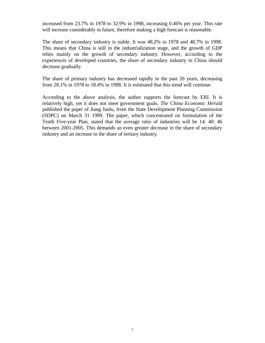increased from 23.7% in 1978 to 32.9% in 1998, increasing 0.46% per year. This rate will increase considerably in future, therefore making a high forecast is reasonable.

The share of secondary industry is stable. It was 48.2% in 1978 and 48.7% in 1998. This means that China is still in the industrialization stage, and the growth of GDP relies mainly on the growth of secondary industry. However, according to the experiences of developed countries, the share of secondary industry in China should decrease gradually.

The share of primary industry has decreased rapidly in the past 20 years, decreasing from 28.1% in 1978 to 18.4% in 1998. It is estimated that this trend will continue.

According to the above analysis, the author supports the forecast by ERI. It is relatively high, yet it does not meet government goals. *The China Economic Herald* published the paper of Jiang Junlu, from the State Development Planning Commission (SDPC) on March 31 1999. The paper, which concentrated on formulation of the Tenth Five-year Plan, stated that the average ratio of industries will be 14: 40: 46 between 2001-2005. This demands an even greater decrease in the share of secondary industry and an increase in the share of tertiary industry.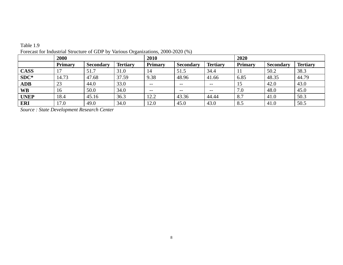|             | 2000           |                  |                 | 2010           |           |                 | 2020           |                  |                 |  |
|-------------|----------------|------------------|-----------------|----------------|-----------|-----------------|----------------|------------------|-----------------|--|
|             | <b>Primary</b> | <b>Secondary</b> | <b>Tertiary</b> | <b>Primary</b> | Secondary | <b>Tertiary</b> | <b>Primary</b> | <b>Secondary</b> | <b>Tertiary</b> |  |
| <b>CASS</b> |                | 51.7             | 31.0            | 14             | 51.5      | 34.4            | 11             | 50.2             | 38.3            |  |
| $SDC*$      | 14.73          | 47.68            | 37.59           | 9.38           | 48.96     | 41.66           | 6.85           | 48.35            | 44.79           |  |
| <b>ADB</b>  | 23             | 44.0             | 33.0            | $- -$          | $- -$     | $- -$           | 15             | 42.0             | 43.0            |  |
| <b>WB</b>   | 16             | 50.0             | 34.0            | $- -$          | $- -$     | $- -$           | 7.0            | 48.0             | 45.0            |  |
| <b>UNEP</b> | 18.4           | 45.16            | 36.3            | 12.2           | 43.36     | 44.44           | 8.7            | 41.0             | 50.3            |  |
| <b>ERI</b>  | 17.0           | 49.0             | 34.0            | 12.0           | 45.0      | 43.0            | 8.5            | 41.0             | 50.5            |  |

### Table 1.9 Forecast for Industrial Structure of GDP by Various Organizations, 2000-2020 (%)

*Source : State Development Research Center*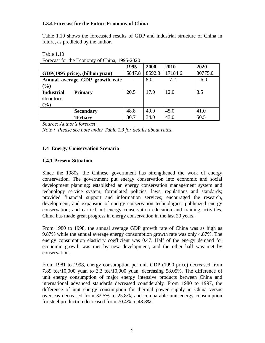#### **1.3.4 Forecast for the Future Economy of China**

Table 1.10 shows the forecasted results of GDP and industrial structure of China in future, as predicted by the author.

| T Orceast for the Economy of China, 1775-2020 |                                 |        |        |         |         |  |  |  |  |  |  |
|-----------------------------------------------|---------------------------------|--------|--------|---------|---------|--|--|--|--|--|--|
|                                               |                                 | 1995   | 2000   | 2010    | 2020    |  |  |  |  |  |  |
|                                               | GDP(1995 price), (billion yuan) | 5847.8 | 8592.3 | 17184.6 | 30775.0 |  |  |  |  |  |  |
|                                               | Annual average GDP growth rate  |        | 8.0    | 7.2     | 6.0     |  |  |  |  |  |  |
| $(\%)$                                        |                                 |        |        |         |         |  |  |  |  |  |  |
| <b>Industrial</b>                             | <b>Primary</b>                  | 20.5   | 17.0   | 12.0    | 8.5     |  |  |  |  |  |  |
| structure                                     |                                 |        |        |         |         |  |  |  |  |  |  |
| (%)                                           |                                 |        |        |         |         |  |  |  |  |  |  |
|                                               | <b>Secondary</b>                | 48.8   | 49.0   | 45.0    | 41.0    |  |  |  |  |  |  |
|                                               | <b>Tertiary</b>                 | 30.7   | 34.0   | 43.0    | 50.5    |  |  |  |  |  |  |

|  |  | Forecast for the Economy of China, 1995-2020 |
|--|--|----------------------------------------------|

*Source: Author's forecast*

Table 1.10

*Note : Please see note under Table 1.3 for details about rates*.

#### **1.4 Energy Conservation Scenario**

#### **1.4.1 Present Situation**

Since the 1980s, the Chinese government has strengthened the work of energy conservation. The government put energy conservation into economic and social development planning; established an energy conservation management system and technology service system; formulated policies, laws, regulations and standards; provided financial support and information services; encouraged the research, development, and expansion of energy conservation technologies; publicized energy conservation; and carried out energy conservation education and training activities. China has made great progress in energy conservation in the last 20 years.

From 1980 to 1998, the annual average GDP growth rate of China was as high as 9.87% while the annual average energy consumption growth rate was only 4.87%. The energy consumption elasticity coefficient was 0.47. Half of the energy demand for economic growth was met by new development, and the other half was met by conservation.

From 1981 to 1998, energy consumption per unit GDP (1990 price) decreased from 7.89 tce/10,000 yuan to 3.3 tce/10,000 yuan, decreasing 58.05%. The difference of unit energy consumption of major energy intensive products between China and international advanced standards decreased considerably. From 1980 to 1997, the difference of unit energy consumption for thermal power supply in China versus overseas decreased from 32.5% to 25.8%, and comparable unit energy consumption for steel production decreased from 70.4% to 48.8%.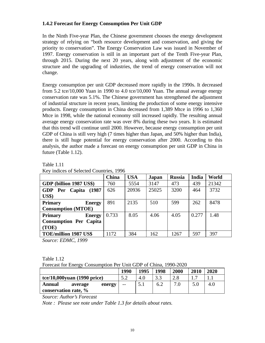#### **1.4.2 Forecast for Energy Consumption Per Unit GDP**

In the Ninth Five-year Plan, the Chinese government chooses the energy development strategy of relying on "both resource development and conservation, and giving the priority to conservation". The Energy Conservation Law was issued in November of 1997. Energy conservation is still in an important part of the Tenth Five-year Plan, through 2015. During the next 20 years, along with adjustment of the economic structure and the upgrading of industries, the trend of energy conservation will not change.

Energy consumption per unit GDP decreased more rapidly in the 1990s. It decreased from  $5.2$  tce/10,000 Yuan in 1990 to  $4.0$  tce/10,000 Yuan. The annual average energy conservation rate was 5.1%. The Chinese government has strengthened the adjustment of industrial structure in recent years, limiting the production of some energy intensive products. Energy consumption in China decreased from 1,389 Mtce in 1996 to 1,360 Mtce in 1998, while the national economy still increased rapidly. The resulting annual average energy conservation rate was over 8% during these two years. It is estimated that this trend will continue until 2000. However, because energy consumption per unit GDP of China is still very high (7 times higher than Japan, and 50% higher than India), there is still huge potential for energy conservation after 2000. According to this analysis, the author made a forecast on energy consumption per unit GDP in China in future (Table 1.12).

|                                   | <b>China</b> | <b>USA</b> | Japan | <b>Russia</b> | India | World |
|-----------------------------------|--------------|------------|-------|---------------|-------|-------|
| GDP (billion 1987 US\$)           | 760          | 5554       | 3147  | 473           | 439   | 21342 |
| (1987)<br>GDP Per Capita          | 626          | 20936      | 25025 | 3200          | 464   | 3732  |
| $\mathbf{U}\mathbf{S}\mathbf{\$}$ |              |            |       |               |       |       |
| <b>Primary</b><br><b>Energy</b>   | 891          | 2135       | 510   | 599           | 262   | 8478  |
| <b>Consumption (MTOE)</b>         |              |            |       |               |       |       |
| <b>Primary</b><br><b>Energy</b>   | 0.733        | 8.05       | 4.06  | 4.05          | 0.277 | 1.48  |
| <b>Consumption Per Capita</b>     |              |            |       |               |       |       |
| (TOE)                             |              |            |       |               |       |       |
| TOE/million 1987 US\$             | 1172         | 384        | 162   | 1267          | 597   | 397   |

Table 1.11

| Key indices of Selected Countries, 1996 |  |  |
|-----------------------------------------|--|--|
|                                         |  |  |

*Source: EDMC, 1999*

Table 1.12

Forecast for Energy Consumption Per Unit GDP of China, 1990-2020

|                                      | 1990         | 1995 | 1998 | 2000 | 2010 | 2020 |
|--------------------------------------|--------------|------|------|------|------|------|
| tce/10,000 $\gamma$ uan (1990 price) | ς η<br>ے . ر | 4.0  | 3.3  | 2.8  |      |      |
| Annual<br>average<br>energy          | $- -$        | 5.1  | 6.2  | 7.0  |      | 4.0  |
| conservation rate, %                 |              |      |      |      |      |      |

*Source: Author's Forecast*

*Note : Please see note under Table 1.3 for details about rates.*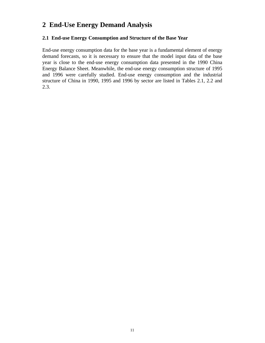## **2 End-Use Energy Demand Analysis**

#### **2.1 End-use Energy Consumption and Structure of the Base Year**

End-use energy consumption data for the base year is a fundamental element of energy demand forecasts, so it is necessary to ensure that the model input data of the base year is close to the end-use energy consumption data presented in the 1990 China Energy Balance Sheet. Meanwhile, the end-use energy consumption structure of 1995 and 1996 were carefully studied. End-use energy consumption and the industrial structure of China in 1990, 1995 and 1996 by sector are listed in Tables 2.1, 2.2 and 2.3.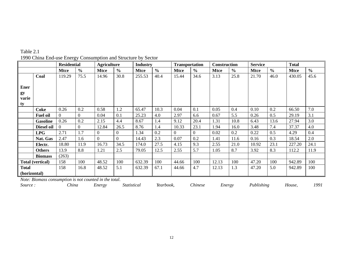|              |                                                        | <b>Residential</b> |               | <b>Agriculture</b> |                | <b>Industry</b> |               | <b>Transportation</b> |                | <b>Construction</b> |               | <b>Service</b> |               | <b>Total</b> |               |
|--------------|--------------------------------------------------------|--------------------|---------------|--------------------|----------------|-----------------|---------------|-----------------------|----------------|---------------------|---------------|----------------|---------------|--------------|---------------|
|              |                                                        | <b>Mtce</b>        | $\frac{6}{9}$ | <b>Mtce</b>        | $\frac{0}{0}$  | <b>Mtce</b>     | $\frac{0}{0}$ | <b>Mtce</b>           | $\frac{6}{9}$  | <b>Mtce</b>         | $\frac{6}{6}$ | <b>Mtce</b>    | $\frac{6}{6}$ | <b>Mtce</b>  | $\frac{0}{0}$ |
|              | Coal                                                   | 119.29             | 75.5          | 14.96              | 30.8           | 255.53          | 40.4          | 15.44                 | 34.6           | 3.13                | 25.8          | 21.70          | 46.0          | 430.05       | 45.6          |
|              |                                                        |                    |               |                    |                |                 |               |                       |                |                     |               |                |               |              |               |
| <b>Ener</b>  |                                                        |                    |               |                    |                |                 |               |                       |                |                     |               |                |               |              |               |
| gy           |                                                        |                    |               |                    |                |                 |               |                       |                |                     |               |                |               |              |               |
| varie        |                                                        |                    |               |                    |                |                 |               |                       |                |                     |               |                |               |              |               |
| ty           |                                                        |                    |               |                    |                |                 |               |                       |                |                     |               |                |               |              |               |
|              | Coke                                                   | 0.26               | 0.2           | 0.58               | 1.2            | 65.47           | 10.3          | 0.04                  | 0.1            | 0.05                | 0.4           | 0.10           | 0.2           | 66.50        | 7.0           |
|              | <b>Fuel oil</b>                                        | $\Omega$           | $\theta$      | 0.04               | 0.1            | 25.23           | 4.0           | 2.97                  | 6.6            | 0.67                | 5.5           | 0.26           | 0.5           | 29.19        | 3.1           |
|              | <b>Gasoline</b>                                        | 0.26               | 0.2           | 2.15               | 4.4            | 8.67            | 1.4           | 9.12                  | 20.4           | 1.31                | 10.8          | 6.43           | 13.6          | 27.94        | 3.0           |
|              | Diesel oil                                             | 0                  | $\theta$      | 12.84              | 26.5           | 8.76            | 1.4           | 10.33                 | 23.1           | 1.94                | 16.0          | 3.48           | 7.4           | 37.37        | 4.0           |
|              | <b>LPG</b>                                             | 2.71               | 1.7           | $\overline{0}$     | $\Omega$       | 1.34            | 0.2           | $\overline{0}$        | $\overline{0}$ | 0.02                | 0.2           | 0.22           | 0.5           | 4.29         | 0.4           |
|              | Nat. Gas                                               | 2.47               | 1.6           | $\overline{0}$     | $\overline{0}$ | 14.43           | 2.3           | 0.07                  | 0.2            | 1.41                | 11.6          | 0.16           | 0.3           | 18.54        | 2.0           |
|              | Electr.                                                | 18.80              | 11.9          | 16.73              | 34.5           | 174.0           | 27.5          | 4.15                  | 9.3            | 2.55                | 21.0          | 10.92          | 23.1          | 227.20       | 24.1          |
|              | <b>Others</b>                                          | 13.9               | 8.8           | 1.21               | 2.5            | 79.05           | 12.5          | 2.55                  | 5.7            | 1.05                | 8.7           | 3.92           | 8.3           | 112.2        | 11.9          |
|              | <b>Biomass</b>                                         | (263)              |               |                    |                |                 |               |                       |                |                     |               |                |               |              |               |
|              | <b>Total (vertical)</b>                                | 158                | 100           | 48.52              | 100            | 632.39          | 100           | 44.66                 | 100            | 12.13               | 100           | 47.20          | 100           | 942.89       | 100           |
| <b>Total</b> |                                                        | 158                | 16.8          | 48.52              | 5.1            | 632.39          | 67.1          | 44.66                 | 4.7            | 12.13               | 1.3           | 47.20          | 5.0           | 942.89       | 100           |
| (horizontal) |                                                        |                    |               |                    |                |                 |               |                       |                |                     |               |                |               |              |               |
|              | Note: Biomass consumption is not counted in the total. |                    |               |                    |                |                 |               |                       |                |                     |               |                |               |              |               |

## Table 2.1 1990 China End-use Energy Consumption and Structure by Sector

| Source | $\sim$<br>hına | Energy | statistical | Yearbook. | $\sim$<br>hinese | :nergy | Publishing | House | 1997 |
|--------|----------------|--------|-------------|-----------|------------------|--------|------------|-------|------|
|        |                |        |             |           |                  |        |            |       |      |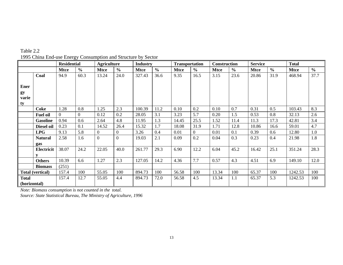|              |                         | <b>Residential</b> |               | <b>Agriculture</b> |                | <b>Industry</b> |               | <b>Transportation</b> |               | <b>Construction</b> |               | <b>Service</b> |               | <b>Total</b> |               |
|--------------|-------------------------|--------------------|---------------|--------------------|----------------|-----------------|---------------|-----------------------|---------------|---------------------|---------------|----------------|---------------|--------------|---------------|
|              |                         | <b>Mtce</b>        | $\frac{0}{0}$ | <b>Mtce</b>        | $\frac{0}{0}$  | <b>Mtce</b>     | $\frac{0}{0}$ | <b>Mtce</b>           | $\frac{6}{6}$ | <b>Mtce</b>         | $\frac{6}{6}$ | <b>Mtce</b>    | $\frac{6}{6}$ | <b>Mtce</b>  | $\frac{6}{6}$ |
|              | Coal                    | 94.9               | 60.3          | 13.24              | 24.0           | 327.43          | 36.6          | 9.35                  | 16.5          | 3.15                | 23.6          | 20.86          | 31.9          | 468.94       | 37.7          |
|              |                         |                    |               |                    |                |                 |               |                       |               |                     |               |                |               |              |               |
| <b>Ener</b>  |                         |                    |               |                    |                |                 |               |                       |               |                     |               |                |               |              |               |
| gy           |                         |                    |               |                    |                |                 |               |                       |               |                     |               |                |               |              |               |
| varie        |                         |                    |               |                    |                |                 |               |                       |               |                     |               |                |               |              |               |
| ty           |                         |                    |               |                    |                |                 |               |                       |               |                     |               |                |               |              |               |
|              | Coke                    | 1.28               | 0.8           | 1.25               | 2.3            | 100.39          | 11.2          | 0.10                  | 0.2           | 0.10                | 0.7           | 0.31           | 0.5           | 103.43       | 8.3           |
|              | <b>Fuel oil</b>         | $\theta$           | $\Omega$      | 0.12               | 0.2            | 28.05           | 3.1           | 3.23                  | 5.7           | 0.20                | 1.5           | 0.53           | 0.8           | 32.13        | 2.6           |
|              | <b>Gasoline</b>         | 0.94               | 0.6           | 2.64               | 4.8            | 11.95           | 1.3           | 14.45                 | 25.5          | 1.52                | 11.4          | 11.3           | 17.3          | 42.81        | 3.4           |
|              | <b>Diesel oil</b>       | 0.23               | 0.1           | 14.52              | 26.4           | 15.32           | 1.7           | 18.08                 | 31.9          | 1.71                | 12.8          | 10.86          | 16.6          | 59.01        | 4.7           |
|              | <b>LPG</b>              | 9.13               | 5.8           | $\theta$           | $\overline{0}$ | 3.26            | 0.4           | 0.01                  | $\Omega$      | 0.01                | 0.1           | 0.39           | 0.6           | 12.80        | 1.0           |
|              | <b>Natural</b>          | 2.58               | 1.6           | $\overline{0}$     | $\overline{0}$ | 19.03           | 2.1           | 0.09                  | 0.2           | 0.04                | 0.3           | 0.23           | 0.4           | 21.98        | 1.8           |
|              | gas                     |                    |               |                    |                |                 |               |                       |               |                     |               |                |               |              |               |
|              | Electricit              | 38.07              | 24.2          | 22.05              | 40.0           | 261.77          | 29.3          | 6.90                  | 12.2          | 6.04                | 45.2          | 16.42          | 25.1          | 351.24       | 28.3          |
|              | v                       |                    |               |                    |                |                 |               |                       |               |                     |               |                |               |              |               |
|              | <b>Others</b>           | 10.39              | 6.6           | 1.27               | 2.3            | 127.05          | 14.2          | 4.36                  | 7.7           | 0.57                | 4.3           | 4.51           | 6.9           | 149.10       | 12.0          |
|              | <b>Biomass</b>          | (251)              |               |                    |                |                 |               |                       |               |                     |               |                |               |              |               |
|              | <b>Total (vertical)</b> | 157.4              | 100           | 55.05              | 100            | 894.73          | 100           | 56.58                 | 100           | 13.34               | 100           | 65.37          | 100           | 1242.53      | 100           |
| <b>Total</b> |                         | 157.4              | 12.7          | 55.05              | 4.4            | 894.73          | 72.0          | 56.58                 | 4.5           | 13.34               | 1.1           | 65.37          | 5.3           | 1242.53      | 100           |
| (horizontal) |                         |                    |               |                    |                |                 |               |                       |               |                     |               |                |               |              |               |

Table 2.2 1995 China End-use Energy Consumption and Structure by Sector

*Note: Biomass consumption is not counted in the total.*

*Source: State Statistical Bureau, The Ministry of Agriculture, 1996*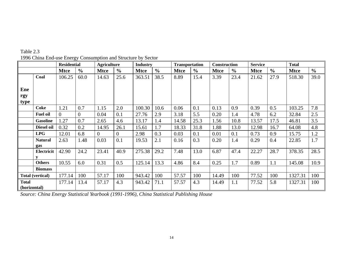|              |                         | <b>Residential</b> |               | <b>Agriculture</b> |                | <b>Industry</b> |               | <b>Transportation</b> |               | Construction |               | <b>Service</b> |               | <b>Total</b> |               |
|--------------|-------------------------|--------------------|---------------|--------------------|----------------|-----------------|---------------|-----------------------|---------------|--------------|---------------|----------------|---------------|--------------|---------------|
|              |                         | <b>Mtce</b>        | $\frac{0}{0}$ | <b>Mtce</b>        | $\frac{0}{0}$  | <b>Mtce</b>     | $\frac{0}{0}$ | <b>Mtce</b>           | $\frac{0}{0}$ | <b>Mtce</b>  | $\frac{6}{6}$ | <b>Mtce</b>    | $\frac{6}{6}$ | <b>Mtce</b>  | $\frac{0}{0}$ |
|              | Coal                    | 106.25             | 60.0          | 14.63              | 25.6           | 363.51          | 38.5          | 8.89                  | 15.4          | 3.39         | 23.4          | 21.62          | 27.9          | 518.30       | 39.0          |
|              |                         |                    |               |                    |                |                 |               |                       |               |              |               |                |               |              |               |
| Ene          |                         |                    |               |                    |                |                 |               |                       |               |              |               |                |               |              |               |
| rgy          |                         |                    |               |                    |                |                 |               |                       |               |              |               |                |               |              |               |
| type         |                         |                    |               |                    |                |                 |               |                       |               |              |               |                |               |              |               |
|              | Coke                    | 1.21               | 0.7           | 1.15               | 2.0            | 100.30          | 10.6          | 0.06                  | 0.1           | 0.13         | 0.9           | 0.39           | 0.5           | 103.25       | 7.8           |
|              | <b>Fuel oil</b>         | $\Omega$           | $\Omega$      | 0.04               | 0.1            | 27.76           | 2.9           | 3.18                  | 5.5           | 0.20         | 1.4           | 4.78           | 6.2           | 32.84        | 2.5           |
|              | <b>Gasoline</b>         | 1.27               | 0.7           | 2.65               | 4.6            | 13.17           | 1.4           | 14.58                 | 25.3          | 1.56         | 10.8          | 13.57          | 17.5          | 46.81        | 3.5           |
|              | Diesel oil              | 0.32               | 0.2           | 14.95              | 26.1           | 15.61           | 1.7           | 18.33                 | 31.8          | 1.88         | 13.0          | 12.98          | 16.7          | 64.08        | 4.8           |
|              | <b>LPG</b>              | 12.01              | 6.8           | $\theta$           | $\overline{0}$ | 2.98            | 0.3           | 0.03                  | 0.1           | 0.01         | 0.1           | 0.73           | 0.9           | 15.75        | 1.2           |
|              | <b>Natural</b>          | 2.63               | 1.48          | 0.03               | 0.1            | 19.53           | 2.1           | 0.16                  | 0.3           | 0.20         | 1.4           | 0.29           | 0.4           | 22.85        | 1.7           |
|              | gas                     |                    |               |                    |                |                 |               |                       |               |              |               |                |               |              |               |
|              | <b>Electricit</b>       | 42.90              | 24.2          | 23.41              | 40.9           | 275.38          | 29.2          | 7.48                  | 13.0          | 6.87         | 47.4          | 22.27          | 28.7          | 378.35       | 28.5          |
|              | v                       |                    |               |                    |                |                 |               |                       |               |              |               |                |               |              |               |
|              | <b>Others</b>           | 10.55              | 6.0           | 0.31               | 0.5            | 125.14          | 13.3          | 4.86                  | 8.4           | 0.25         | 1.7           | 0.89           | 1.1           | 145.08       | 10.9          |
|              | <b>Biomass</b>          |                    |               |                    |                |                 |               |                       |               |              |               |                |               |              |               |
|              | <b>Total (vertical)</b> | 177.14             | 100           | 57.17              | 100            | 943.42          | 100           | 57.57                 | 100           | 14.49        | 100           | 77.52          | 100           | 1327.31      | 100           |
| <b>Total</b> |                         | 177.14             | 13.4          | 57.17              | 4.3            | 943.42          | 71.1          | 57.57                 | 4.3           | 14.49        | 1.1           | 77.52          | 5.8           | 1327.31      | 100           |
| (horizontal) |                         |                    |               |                    |                |                 |               |                       |               |              |               |                |               |              |               |

Table 2.3 1996 China End-use Energy Consumption and Structure by Sector

*Source: China Energy Statistical Yearbook (1991-1996), China Statistical Publishing House*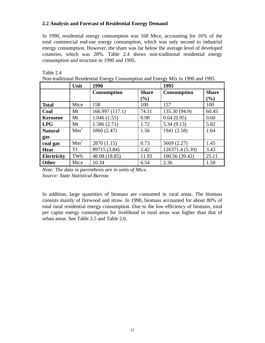#### **2.2 Analysis and Forecast of Residential Energy Demand**

In 1990, residential energy consumption was 168 Mtce, accounting for 16% of the total commercial end-use energy consumption, which was only second to industrial energy consumption. However, the share was far below the average level of developed countries, which was 28%. Table 2.4 shows non-traditional residential energy consumption and structure in 1990 and 1995.

|                 | Unit            | $\tilde{\phantom{a}}$<br>1990 |              | ັັ<br>1995                         |       |  |
|-----------------|-----------------|-------------------------------|--------------|------------------------------------|-------|--|
|                 |                 | <b>Consumption</b>            | <b>Share</b> | <b>Share</b><br><b>Consumption</b> |       |  |
|                 |                 |                               | $(\%)$       |                                    | (%)   |  |
| <b>Total</b>    | Mtce            | 158                           | 100          | 157                                | 100   |  |
| Coal            | Mt              | 166.997 (117.1)               | 74.11        | 135.30 (94.9)                      | 60.45 |  |
| <b>Kerosene</b> | Mt              | 1.046(1.55)                   | 0.98         | 0.64(0.95)                         | 0.60  |  |
| <b>LPG</b>      | Mt              | 1.586(2.71)                   | 1.72         | 5.34(9.13)                         | 5.82  |  |
| <b>Natural</b>  | Mm <sup>3</sup> | 1860 (2.47)                   | 1.56         | 1941 (2.58)                        | 1.64  |  |
| gas             |                 |                               |              |                                    |       |  |
| coal gas        | Mm <sup>3</sup> | 2870 (1.15)                   | 0.73         | 5669 (2.27)                        | 1.45  |  |
| <b>Heat</b>     | TJ              | 89715 (3.84)                  | 2.42         | 126371.4 (5.39)                    | 3.43  |  |
| Electricity     | TWh             | 48.08 (18.85)                 | 11.93        | 100.56 (39.42)                     | 25.11 |  |
| <b>Other</b>    | Mtce            | 10.34                         | 6.54         | 2.36                               | 1.50  |  |

Non-traditional Residential Energy Consumption and Energy Mix in 1990 and 1995

*Note: The data in parenthesis are in units of Mtce. Source: State Statistical Bureau*

Table 2.4

In addition, large quantities of biomass are consumed in rural areas. The biomass consists mainly of firewood and straw. In 1990, biomass accounted for about 80% of total rural residential energy consumption. Due to the low efficiency of biomass, total per capita energy consumption for livelihood in rural areas was higher than that of urban areas. See Table 2.5 and Table 2.6.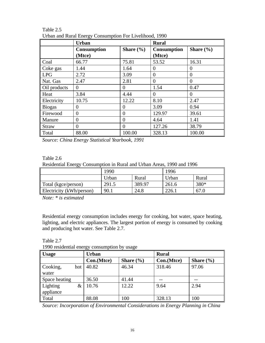|               | $\sim$<br><b>Urban</b> |               | <b>Rural</b>       |               |  |
|---------------|------------------------|---------------|--------------------|---------------|--|
|               | <b>Consumption</b>     | Share $(\% )$ | <b>Consumption</b> | Share $(\% )$ |  |
|               | (Mtce)                 |               | (Mtce)             |               |  |
| Coal          | 66.77                  | 75.81         | 53.52              | 16.31         |  |
| Coke gas      | 1.44                   | 1.64          | $\overline{0}$     | $\theta$      |  |
| <b>LPG</b>    | 2.72                   | 3.09          | $\overline{0}$     | $\theta$      |  |
| Nat. Gas      | 2.47                   | 2.81          | $\overline{0}$     | $\Omega$      |  |
| Oil products  | 0                      | 0             | 1.54               | 0.47          |  |
| Heat          | 3.84                   | 4.44          | $\theta$           | $\Omega$      |  |
| Electricity   | 10.75                  | 12.22         | 8.10               | 2.47          |  |
| <b>Biogas</b> | 0                      | 0             | 3.09               | 0.94          |  |
| Firewood      | $\theta$               | 0             | 129.97             | 39.61         |  |
| Manure        | $\overline{0}$         | 0             | 4.64               | 1.41          |  |
| <b>Straw</b>  | $\theta$               | 0             | 127.26             | 38.79         |  |
| Total         | 88.00                  | 100.00        | 328.13             | 100.00        |  |

Table 2.5 Urban and Rural Energy Consumption For Livelihood, 1990

*Source: China Energy Statistical Yearbook, 1991*

#### Table 2.6

Residential Energy Consumption in Rural and Urban Areas, 1990 and 1996

|                          | 1990  |        | 1996  |        |  |
|--------------------------|-------|--------|-------|--------|--|
|                          | Urban | Rural  | Urban | Rural  |  |
| Total (kgce/person)      | 291.5 | 389.97 | 261.6 | $380*$ |  |
| Electricity (kWh/person) | 90.1  | 24.8   | 226.1 | 67.0   |  |

*Note: \* is estimated*

Residential energy consumption includes energy for cooking, hot water, space heating, lighting, and electric appliances. The largest portion of energy is consumed by cooking and producing hot water. See Table 2.7.

Table 2.7

| 1990 residential energy consumption by usage |  |  |
|----------------------------------------------|--|--|
|                                              |  |  |

| <b>Usage</b>  |      | <b>Urban</b> |               | <b>Rural</b> |               |  |
|---------------|------|--------------|---------------|--------------|---------------|--|
|               |      | Con.(Mtce)   | Share $(\% )$ | Con.(Mtce)   | Share $(\% )$ |  |
| Cooking,      | hot  | 40.82        | 46.34         | 318.46       | 97.06         |  |
| water         |      |              |               |              |               |  |
| Space heating |      | 36.50        | 41.44         |              |               |  |
| Lighting      | $\&$ | 10.76        | 12.22         | 9.64         | 2.94          |  |
| appliance     |      |              |               |              |               |  |
| Total         |      | 88.08        | 100           | 328.13       | 100           |  |

*Source: Incorporation of Environmental Considerations in Energy Planning in China*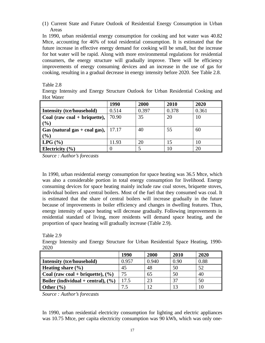(1) Current State and Future Outlook of Residential Energy Consumption in Urban Areas

In 1990, urban residential energy consumption for cooking and hot water was 40.82 Mtce, accounting for 46% of total residential consumption. It is estimated that the future increase in effective energy demand for cooking will be small, but the increase for hot water will be rapid. Along with more environmental regulations for residential consumers, the energy structure will gradually improve. There will be efficiency improvements of energy consuming devices and an increase in the use of gas for cooking, resulting in a gradual decrease in energy intensity before 2020. See Table 2.8.

Table 2.8

Energy Intensity and Energy Structure Outlook for Urban Residential Cooking and Hot Water

|                                   | 1990  | 2000  | 2010  | 2020  |
|-----------------------------------|-------|-------|-------|-------|
| <b>Intensity (tce/household)</b>  | 0.514 | 0.397 | 0.378 | 0.361 |
| Coal (raw coal + briquette),      | 70.90 | 35    | 20    | 10    |
| (9/0)                             |       |       |       |       |
| Gas (natural gas + coal gas), $ $ | 17.17 | 40    | 55    | 60    |
| (9/0)                             |       |       |       |       |
| LPG $(\% )$                       | 11.93 | 20    |       | 10    |
| Electricity $(\% )$               |       |       |       | 20    |

*Source : Author's forecasts*

In 1990, urban residential energy consumption for space heating was 36.5 Mtce, which was also a considerable portion in total energy consumption for livelihood. Energy consuming devices for space heating mainly include raw coal stoves, briquette stoves, individual boilers and central boilers. Most of the fuel that they consumed was coal. It is estimated that the share of central boilers will increase gradually in the future because of improvements in boiler efficiency and changes in dwelling features. Thus, energy intensity of space heating will decrease gradually. Following improvements in residential standard of living, more residents will demand space heating, and the proportion of space heating will gradually increase (Table 2.9).

Table 2.9

Energy Intensity and Energy Structure for Urban Residential Space Heating, 1990- 2020

|                                        | 1990  | 2000  | 2010 | 2020 |
|----------------------------------------|-------|-------|------|------|
| <b>Intensity (tce/household)</b>       | 0.957 | 0.940 | 0.90 | 0.88 |
| Heating share $(\% )$                  | 45    | 48    | 50   | 52   |
| Coal (raw coal + briquette), $(\% )$   | 75    | 65    | 50   | 40   |
| Boiler (individual + central), $(\% )$ | 17.5  | 23    | 37   | 50   |
| Other $(\% )$                          | 7.5   |       |      | 10   |

*Source : Author's forecasts*

In 1990, urban residential electricity consumption for lighting and electric appliances was 10.75 Mtce, per capita electricity consumption was 90 kWh, which was only one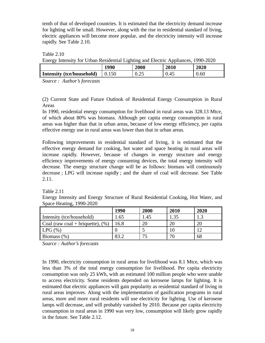tenth of that of developed countries. It is estimated that the electricity demand increase for lighting will be small. However, along with the rise in residential standard of living, electric appliances will become more popular, and the electricity intensity will increase rapidly. See Table 2.10.

Table 2.10

Energy Intensity for Urban Residential Lighting and Electric Appliances, 1990-2020

|                           | 1990 | 2000 | <b>2010</b> | 2020 |
|---------------------------|------|------|-------------|------|
| Intensity (tce/household) |      | ∪.∠J | $0.45\,$    | 0.60 |

*Source : Author's forecasts*

(2) Current State and Future Outlook of Residential Energy Consumption in Rural Areas

In 1990, residential energy consumption for livelihood in rural areas was 328.13 Mtce, of which about 80% was biomass. Although per capita energy consumption in rural areas was higher than that in urban areas, because of low energy efficiency, per capita effective energy use in rural areas was lower than that in urban areas.

Following improvements in residential standard of living, it is estimated that the effective energy demand for cooking, hot water and space heating in rural areas will increase rapidly. However, because of changes in energy structure and energy efficiency improvements of energy consuming devices, the total energy intensity will decrease. The energy structure change will be as follows: biomass will continuously decrease ; LPG will increase rapidly ; and the share of coal will decrease. See Table 2.11.

Table 2.11

Energy Intensity and Energy Structure of Rural Residential Cooking, Hot Water, and Space Heating, 1990-2020

|                                     | 1990 | 2000 | 2010 | 2020 |
|-------------------------------------|------|------|------|------|
| Intensity (tce/household)           | 1.65 | 1.45 | 1.35 |      |
| Coal (raw coal + briquette), $(\%)$ | 16.8 | 20   | 20   |      |
| $\parallel$ LPG $(\% )$             |      |      |      |      |
| Biomass $(\%)$                      | Q? ^ | 75   | 70   | 68   |

*Source : Author's forecasts*

In 1990, electricity consumption in rural areas for livelihood was 8.1 Mtce, which was less than 3% of the total energy consumption for livelihood. Per capita electricity consumption was only 25 kWh, with an estimated 100 million people who were unable to access electricity. Some residents depended on kerosene lamps for lighting. It is estimated that electric appliances will gain popularity as residential standard of living in rural areas improves. Along with the implementation of gasification programs in rural areas, more and more rural residents will use electricity for lighting. Use of kerosene lamps will decrease, and will probably vanished by 2010. Because per capita electricity consumption in rural areas in 1990 was very low, consumption will likely grow rapidly in the future. See Table 2.12.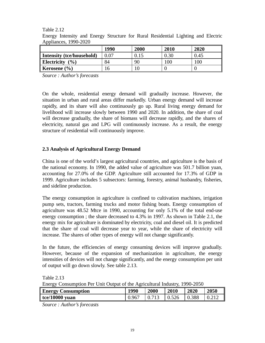Table 2.12

|                                            | 1990 | 2000 | 2010 | 2020 |
|--------------------------------------------|------|------|------|------|
| Intensity (tce/household)                  | ገ በ7 |      | 0.30 | 0.45 |
| Electricity $(\% )$                        | 84   | 90   | 100  | 100  |
| <b>Kerosene</b> $\left(\frac{0}{0}\right)$ |      |      |      |      |

Energy Intensity and Energy Structure for Rural Residential Lighting and Electric Appliances, 1990-2020

*Source : Author's forecasts*

On the whole, residential energy demand will gradually increase. However, the situation in urban and rural areas differ markedly. Urban energy demand will increase rapidly, and its share will also continuously go up. Rural living energy demand for livelihood will increase slowly between 1990 and 2020. In addition, the share of coal will decrease gradually, the share of biomass will decrease rapidly, and the shares of electricity, natural gas and LPG will continuously increase. As a result, the energy structure of residential will continuously improve.

#### **2.3 Analysis of Agricultural Energy Demand**

China is one of the world's largest agricultural countries, and agriculture is the basis of the national economy. In 1990, the added value of agriculture was 501.7 billion yuan, accounting for 27.0% of the GDP. Agriculture still accounted for 17.3% of GDP in 1999. Agriculture includes 5 subsectors: farming, forestry, animal husbandry, fisheries, and sideline production.

The energy consumption in agriculture is confined to cultivation machines, irrigation pump sets, tractors, farming trucks and motor fishing boats. Energy consumption of agriculture was 48.52 Mtce in 1990, accounting for only 5.1% of the total end-use energy consumption ; the share decreased to 4.3% in 1997. As shown in Table 2.1, the energy mix for agriculture is dominated by electricity, coal and diesel oil. It is predicted that the share of coal will decrease year to year, while the share of electricity will increase. The shares of other types of energy will not change significantly.

In the future, the efficiencies of energy consuming devices will improve gradually. However, because of the expansion of mechanization in agriculture, the energy intensities of devices will not change significantly, and the energy consumption per unit of output will go down slowly. See table 2.13.

| $\pi$ existing the contract of the computer of the Agricultural model $\gamma$ , $1770-2030$ |      |                                                         |             |               |        |  |  |
|----------------------------------------------------------------------------------------------|------|---------------------------------------------------------|-------------|---------------|--------|--|--|
| <b>Energy Consumption</b>                                                                    | 1990 | <b>2000</b>                                             | $\mid$ 2010 | $\sqrt{2020}$ | 12050  |  |  |
| tce/10000 yuan                                                                               |      | $\vert 0.967 \vert 0.713 \vert 0.526 \vert 0.388 \vert$ |             |               | 10.212 |  |  |

Table 2.13

Energy Consumption Per Unit Output of the Agricultural Industry, 1990-2050

*Source : Author's forecasts*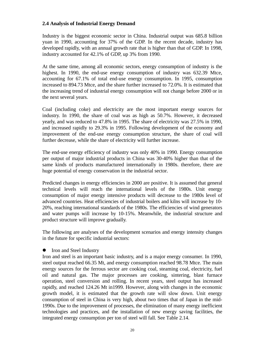#### **2.4 Analysis of Industrial Energy Demand**

Industry is the biggest economic sector in China. Industrial output was 685.8 billion yuan in 1990, accounting for 37% of the GDP. In the recent decade, industry has developed rapidly, with an annual growth rate that is higher than that of GDP. In 1998, industry accounted for 42.1% of GDP, up 3% from 1990.

At the same time, among all economic sectors, energy consumption of industry is the highest. In 1990, the end-use energy consumption of industry was 632.39 Mtce, accounting for 67.1% of total end-use energy consumption. In 1995, consumption increased to 894.73 Mtce, and the share further increased to 72.0%. It is estimated that the increasing trend of industrial energy consumption will not change before 2000 or in the next several years.

Coal (including coke) and electricity are the most important energy sources for industry. In 1990, the share of coal was as high as 50.7%. However, it decreased yearly, and was reduced to 47.8% in 1995. The share of electricity was 27.5% in 1990, and increased rapidly to 29.3% in 1995. Following development of the economy and improvement of the end-use energy consumption structure, the share of coal will further decrease, while the share of electricity will further increase.

The end-use energy efficiency of industry was only 40% in 1990. Energy consumption per output of major industrial products in China was 30-40% higher than that of the same kinds of products manufactured internationally in 1980s. therefore, there are huge potential of energy conservation in the industrial sector.

Predicted changes in energy efficiencies in 2000 are positive. It is assumed that general technical levels will reach the international levels of the 1980s. Unit energy consumption of major energy intensive products will decrease to the 1980s level of advanced countries. Heat efficiencies of industrial boilers and kilns will increase by 10- 20%, reaching international standards of the 1980s. The efficiencies of wind generators and water pumps will increase by 10-15%. Meanwhile, the industrial structure and product structure will improve gradually.

The following are analyses of the development scenarios and energy intensity changes in the future for specific industrial sectors:

#### • Iron and Steel Industry

Iron and steel is an important basic industry, and is a major energy consumer. In 1990, steel output reached 66.35 Mt, and energy consumption reached 98.78 Mtce. The main energy sources for the ferrous sector are cooking coal, steaming coal, electricity, fuel oil and natural gas. The major processes are cooking, sintering, blast furnace operation, steel conversion and rolling. In recent years, steel output has increased rapidly, and reached 124.26 Mt in1999. However, along with changes in the economic growth model, it is estimated that the growth rate will slow down. Unit energy consumption of steel in China is very high, about two times that of Japan in the mid-1990s. Due to the improvement of processes, the elimination of many energy inefficient technologies and practices, and the installation of new energy saving facilities, the integrated energy consumption per ton of steel will fall. See Table 2.14.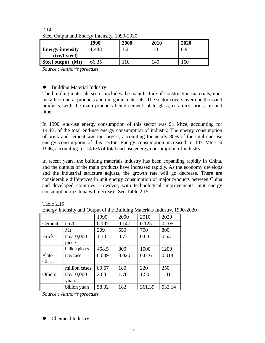|                         | 1990  | 2000                     | 2010 | 2020 |
|-------------------------|-------|--------------------------|------|------|
| <b>Energy intensity</b> | .488  | $\overline{\phantom{a}}$ | U. I | 0.9  |
| (tce/t-steel)           |       |                          |      |      |
| Steel output (Mt)       | 66.35 | 10                       | 140  | 160  |

2.14 Steel Output and Energy Intensity, 1990-2020

*Source : Author's forecasts*

#### • Building Material Industry

The building materials sector includes the manufacture of construction materials, nonmetallic mineral products and inorganic materials. The sector covers over one thousand products, with the main products being cement, plate glass, ceramics, brick, tin and lime.

In 1990, end-use energy consumption of this sector was 91 Mtce, accounting for 14.4% of the total end-use energy consumption of industry. The energy consumption of brick and cement was the largest, accounting for nearly 80% of the total end-use energy consumption of this sector. Energy consumption increased to 137 Mtce in 1996, accounting for 14.6% of total end-use energy consumption of industry.

In recent years, the building materials industry has been expanding rapidly in China, and the outputs of the main products have increased rapidly. As the economy develops and the industrial structure adjusts, the growth rate will go decrease. There are considerable differences in unit energy consumption of major products between China and developed countries. However, with technological improvements, unit energy consumption in China will decrease. See Table 2.15.

| Litergy michally and Output of the Dunding Materials measury, 199 |                |       |       |        |        |
|-------------------------------------------------------------------|----------------|-------|-------|--------|--------|
|                                                                   |                | 1990  | 2000  | 2010   | 2020   |
| Cement                                                            | tce/t          | 0.197 | 0.147 | 0.125  | 0.105  |
|                                                                   | Mt             | 209   | 550   | 700    | 800    |
| <b>Brick</b>                                                      | tce/10,000     | 1.10  | 0.73  | 0.63   | 0.53   |
|                                                                   | piece          |       |       |        |        |
|                                                                   | billion pieces | 458.5 | 800   | 1000   | 1200   |
| Plate                                                             | tce/case       | 0.039 | 0.020 | 0.016  | 0.014  |
| <b>Glass</b>                                                      |                |       |       |        |        |
|                                                                   | million cases  | 80.67 | 180   | 220    | 250    |
| Others                                                            | tce/10,000     | 2.68  | 1.70  | 1.50   | 1.31   |
|                                                                   | yuan           |       |       |        |        |
|                                                                   | billion yuan   | 58.02 | 182   | 361.39 | 533.14 |

Table 2.15

Energy Intensity and Output of the Building Materials Industry, 1990-2020

*Source : Author's forecasts*

Chemical Industry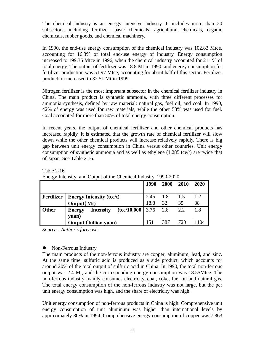The chemical industry is an energy intensive industry. It includes more than 20 subsectors, including fertilizer, basic chemicals, agricultural chemicals, organic chemicals, rubber goods, and chemical machinery.

In 1990, the end-use energy consumption of the chemical industry was 102.83 Mtce, accounting for 16.3% of total end-use energy of industry. Energy consumption increased to 199.35 Mtce in 1996, when the chemical industry accounted for 21.1% of total energy. The output of fertilizer was 18.8 Mt in 1990, and energy consumption for fertilizer production was 51.97 Mtce, accounting for about half of this sector. Fertilizer production increased to 32.51 Mt in 1999.

Nitrogen fertilizer is the most important subsector in the chemical fertilizer industry in China. The main product is synthetic ammonia, with three different processes for ammonia synthesis, defined by raw material: natural gas, fuel oil, and coal. In 1990, 42% of energy was used for raw materials, while the other 58% was used for fuel. Coal accounted for more than 50% of total energy consumption.

In recent years, the output of chemical fertilizer and other chemical products has increased rapidly. It is estimated that the growth rate of chemical fertilizer will slow down while the other chemical products will increase relatively rapidly. There is big gap between unit energy consumption in China versus other countries. Unit energy consumption of synthetic ammonia and as well as ethylene (1.285 tce/t) are twice that of Japan. See Table 2.16.

| $\text{Eileley}$ intensity and Output of the Chemical model $\gamma$ , $1330 - 2020$ |                                                            |      |      |      |      |  |
|--------------------------------------------------------------------------------------|------------------------------------------------------------|------|------|------|------|--|
|                                                                                      |                                                            | 1990 | 2000 | 2010 | 2020 |  |
| Fertilizer                                                                           | <b>Energy Intensity (tce/t)</b>                            | 2.45 | 1.8  | 1.5  | 1.2  |  |
|                                                                                      | Output(Mt)                                                 | 18.8 | 32   | 35   | 38   |  |
| <b>Other</b>                                                                         | (tce/10,000)<br><b>Intensity</b><br><b>Energy</b><br>yuan) | 3.76 | 2.8  | 2.2  | 1.8  |  |
|                                                                                      | <b>Output (billion yuan)</b>                               | 151  | 387  | 720  | 1104 |  |

Table 2-16

| Energy Intensity and Output of the Chemical Industry, 1990-2020 |  |
|-----------------------------------------------------------------|--|
|                                                                 |  |

*Source : Author's forecasts*

#### • Non-Ferrous Industry

The main products of the non-ferrous industry are copper, aluminum, lead, and zinc. At the same time, sulfuric acid is produced as a side product, which accounts for around 20% of the total output of sulfuric acid in China. In 1990, the total non-ferrous output was 2.4 Mt, and the corresponding energy consumption was 18.55Mtce. The non-ferrous industry mainly consumes electricity, coal, coke, fuel oil and natural gas. The total energy consumption of the non-ferrous industry was not large, but the per unit energy consumption was high, and the share of electricity was high.

Unit energy consumption of non-ferrous products in China is high. Comprehensive unit energy consumption of unit aluminum was higher than international levels by approximately 30% in 1994. Comprehensive energy consumption of copper was 7.863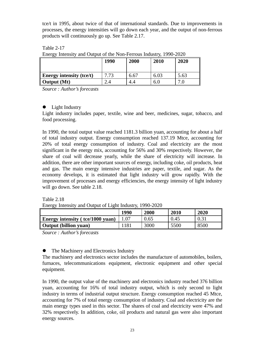tce/t in 1995, about twice of that of international standards. Due to improvements in processes, the energy intensities will go down each year, and the output of non-ferrous products will continuously go up. See Table 2.17.

#### Table 2-17

Energy Intensity and Output of the Non-Ferrous Industry, 1990-2020

|                                 | 1990 | 2000 | 2010 | 2020 |
|---------------------------------|------|------|------|------|
| <b>Energy intensity (tce/t)</b> | 7.73 | 6.67 | 6.03 | 5.63 |
| <b>Output</b> (Mt)              | 2.4  | 4.4  | 6.0  |      |

*Source : Author's forecasts*

#### $\bullet$  Light Industry

Light industry includes paper, textile, wine and beer, medicines, sugar, tobacco, and food processing.

In 1990, the total output value reached 1181.3 billion yuan, accounting for about a half of total industry output. Energy consumption reached 137.19 Mtce, accounting for 20% of total energy consumption of industry. Coal and electricity are the most significant in the energy mix, accounting for 56% and 30% respectively. However, the share of coal will decrease yearly, while the share of electricity will increase. In addition, there are other important sources of energy, including coke, oil products, heat and gas. The main energy intensive industries are paper, textile, and sugar. As the economy develops, it is estimated that light industry will grow rapidly. With the improvement of processes and energy efficiencies, the energy intensity of light industry will go down. See table 2.18.

#### Table 2.18 Energy Intensity and Output of Light Industry, 1990-2020

|                                  | 1990 | 2000 | 2010 | 2020 |
|----------------------------------|------|------|------|------|
| Energy intensity (tee/1000 yuan) |      | 0.65 | 0.45 | 0.31 |
| <b>Output</b> (billion yuan)     | 1181 | 3000 | 5500 | 8500 |

*Source : Author's forecasts*

• The Machinery and Electronics Industry

The machinery and electronics sector includes the manufacture of automobiles, boilers, furnaces, telecommunications equipment, electronic equipment and other special equipment.

In 1990, the output value of the machinery and electronics industry reached 376 billion yuan, accounting for 16% of total industry output, which is only second to light industry in terms of industrial output structure. Energy consumption reached 45 Mtce, accounting for 7% of total energy consumption of industry. Coal and electricity are the main energy types used in this sector. The shares of coal and electricity were 47% and 32% respectively. In addition, coke, oil products and natural gas were also important energy sources.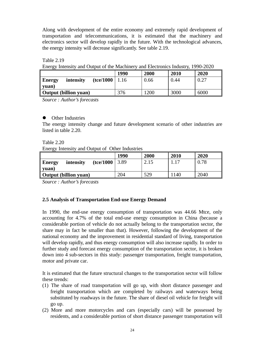Along with development of the entire economy and extremely rapid development of transportation and telecommunications, it is estimated that the machinery and electronics sector will develop rapidly in the future. With the technological advances, the energy intensity will decrease significantly. See table 2.19.

Table 2.19

Energy Intensity and Output of the Machinery and Electronics Industry, 1990-2020

|                        |                              |           | 1990 | 2000 | 2010 | 2020 |
|------------------------|------------------------------|-----------|------|------|------|------|
| <b>Energy</b><br>vuan) | intensity                    | (tce/1000 | 1.16 | 0.66 | 0.44 | 0.27 |
|                        | <b>Output</b> (billion yuan) |           | 376  | 200  | 3000 | 6000 |

*Source : Author's forecasts*

#### • Other Industries

The energy intensity change and future development scenario of other industries are listed in table 2.20.

Table 2.20

Energy Intensity and Output of Other Industries

|               |                              |           | 1990 | 2000 | 2010       | 2020 |
|---------------|------------------------------|-----------|------|------|------------|------|
| <b>Energy</b> | intensity                    | (tce/1000 | 3.89 | ر ب  | 17<br>1.1. | 0.78 |
| vuan)         |                              |           |      |      |            |      |
|               | <b>Output</b> (billion yuan) |           | 204  | 529  | l 140      | 2040 |

*Source : Author's forecasts*

#### **2.5 Analysis of Transportation End-use Energy Demand**

In 1990, the end-use energy consumption of transportation was 44.66 Mtce, only accounting for 4.7% of the total end-use energy consumption in China (because a considerable portion of vehicle do not actually belong to the transportation sector, the share may in fact be smaller than that). However, following the development of the national economy and the improvement in residential standard of living, transportation will develop rapidly, and thus energy consumption will also increase rapidly. In order to further study and forecast energy consumption of the transportation sector, it is broken down into 4 sub-sectors in this study: passenger transportation, freight transportation, motor and private car.

It is estimated that the future structural changes to the transportation sector will follow these trends:

- (1) The share of road transportation will go up, with short distance passenger and freight transportation which are completed by railways and waterways being substituted by roadways in the future. The share of diesel oil vehicle for freight will go up.
- (2) More and more motorcycles and cars (especially cars) will be possessed by residents, and a considerable portion of short distance passenger transportation will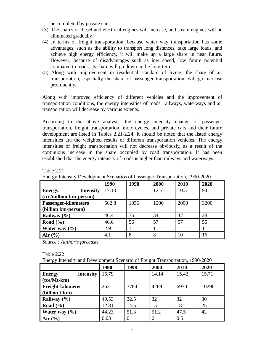be completed by private cars.

- (3) The shares of diesel and electrical engines will increase, and steam engines will be eliminated gradually.
- (4) In terms of freight transportation, because water way transportation has some advantages, such as the ability to transport long distances, take large loads, and achieve high energy efficiency, it will make up a large share in near future. However, because of disadvantages such as low speed, low future potential compared to roads, its share will go down in the long-term.
- (5) Along with improvement in residential standard of living, the share of air transportation, especially the share of passenger transportation, will go increase prominently.

Along with improved efficiency of different vehicles and the improvement of transportation conditions, the energy intensities of roads, railways, waterways and air transportation will decrease by various extents.

According to the above analysis, the energy intensity change of passenger transportation, freight transportation, motorcycles, and private cars and their future development are listed in Tables 2.21-2.24. It should be noted that the listed energy intensities are the weighted results of different transportation vehicles. The energy intensities of freight transportation will not decrease obviously, as a result of the continuous increase in the share occupied by road transportation. It has been established that the energy intensity of roads is higher than railways and waterways.

|                                   | 1990  | 1998 | 2000 | 2010 | 2020 |
|-----------------------------------|-------|------|------|------|------|
| <b>Energy</b><br><b>Intensity</b> | 17.10 |      | 12.5 | 10.5 | 9.0  |
| (tce/million-km-person)           |       |      |      |      |      |
| <b>Passenger-kilometers</b>       | 562.8 | 1056 | 1200 | 2000 | 3200 |
| (billion km-person)               |       |      |      |      |      |
| Railway $(\% )$                   | 46.4  | 35   | 34   | 32   | 28   |
| Road $(\% )$                      | 46.6  | 56   | 57   | 57   | 55   |
| Water way $(\% )$                 | 2.9   |      |      |      |      |
| Air $\left(\frac{9}{6}\right)$    | 4.1   | 8    | 8    | 10   |      |

Table 2.21

|  |  | Energy Intensity Development Scenarios of Passenger Transportation, 1990-2020 |  |  |
|--|--|-------------------------------------------------------------------------------|--|--|
|  |  |                                                                               |  |  |

*Source : Author's forecasts*

Table 2.22

Energy Intensity and Development Scenario of Freight Transportation, 1990-2020

|                                | 1990  | 1998 | 2000  | 2010  | 2020  |
|--------------------------------|-------|------|-------|-------|-------|
| intensity<br><b>Energy</b>     | 15.79 |      | 14.14 | 15.42 | 15.71 |
| (tce/Mt-km)                    |       |      |       |       |       |
| Freight-kilometer              | 2621  | 3784 | 4269  | 6950  | 10290 |
| (billion t-km)                 |       |      |       |       |       |
| Railway $(\% )$                | 40.53 | 32.5 | 32    | 32    | 30    |
| Road $(\% )$                   | 12.81 | 14.5 | 15    | 18    | 25    |
| Water way $(\% )$              | 44.23 | 51.3 | 51.2  | 47.5  | 42    |
| Air $\left(\frac{0}{0}\right)$ | 0.03  | 0.1  | 0.1   | 0.5   |       |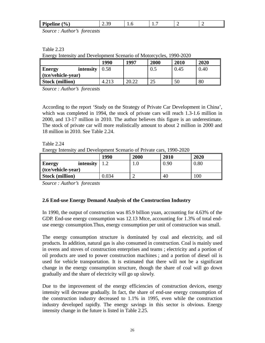|  | <br>$\ddot{\phantom{1}}$<br>D.<br>∕0<br>---<br>. | $\ddotsc$ | . | . . |  | - |
|--|--------------------------------------------------|-----------|---|-----|--|---|
|--|--------------------------------------------------|-----------|---|-----|--|---|

*Source : Author's forecasts*

| Table 2.23 |  |
|------------|--|
|------------|--|

Energy Intensity and Development Scenario of Motorcycles, 1990-2020

|                            | 1990 | 1997  | 2000      | 2010 | 2020 |
|----------------------------|------|-------|-----------|------|------|
| Energy<br>intensity        | 0.58 |       | $\rm 0.5$ | 0.45 | 0.40 |
| $\vert$ (tce/vehicle-year) |      |       |           |      |      |
| Stock (million)            |      | 20.22 | ኅ 4<br>رے | 50   | 80   |

*Source : Author's forecasts*

According to the report 'Study on the Strategy of Private Car Development in China', which was completed in 1994, the stock of private cars will reach 1.3-1.6 million in 2000, and 13-17 million in 2010. The author believes this figure is an underestimate. The stock of private car will more realistically amount to about 2 million in 2000 and 18 million in 2010. See Table 2.24.

Table 2.24

Energy Intensity and Development Scenario of Private cars, 1990-2020

|                            | 1990  | 2000 | 2010 | 2020 |
|----------------------------|-------|------|------|------|
| intensity<br><b>Energy</b> |       | 1.V  | 0.90 | 0.80 |
| (tce/vehicle-year)         |       |      |      |      |
| <b>Stock</b> (million)     | ۔ 34. |      | 40   | 100  |

*Source : Author's forecasts*

#### **2.6 End-use Energy Demand Analysis of the Construction Industry**

In 1990, the output of construction was 85.9 billion yuan, accounting for 4.63% of the GDP. End-use energy consumption was 12.13 Mtce, accounting for 1.3% of total enduse energy consumption.Thus, energy consumption per unit of construction was small.

The energy consumption structure is dominated by coal and electricity, and oil products. In addition, natural gas is also consumed in construction. Coal is mainly used in ovens and stoves of construction enterprises and teams ; electricity and a portion of oil products are used to power construction machines ; and a portion of diesel oil is used for vehicle transportation. It is estimated that there will not be a significant change in the energy consumption structure, though the share of coal will go down gradually and the share of electricity will go up slowly.

Due to the improvement of the energy efficiencies of construction devices, energy intensity will decrease gradually. In fact, the share of end-use energy consumption of the construction industry decreased to 1.1% in 1995, even while the construction industry developed rapidly. The energy savings in this sector is obvious. Energy intensity change in the future is listed in Table 2.25.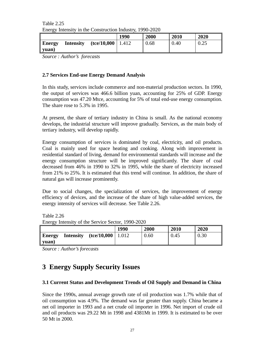| $Eileley$ intensity in the Construction mudistry, $1330-2020$ |                           |      |      |      |      |  |
|---------------------------------------------------------------|---------------------------|------|------|------|------|--|
|                                                               |                           | 1990 | 2000 | 2010 | 2020 |  |
| <b>Intensity</b><br>Energy<br>vuan)                           | $(tce/10,000 \mid 1.412)$ |      | 0.68 | 0.40 | 0.25 |  |

Table 2.25 Energy Intensity in the Construction Industry, 1990-2020

*Source : Author's forecasts*

#### **2.7 Services End-use Energy Demand Analysis**

In this study, services include commerce and non-material production sectors. In 1990, the output of services was 466.6 billion yuan, accounting for 25% of GDP. Energy consumption was 47.20 Mtce, accounting for 5% of total end-use energy consumption. The share rose to 5.3% in 1995.

At present, the share of tertiary industry in China is small. As the national economy develops, the industrial structure will improve gradually. Services, as the main body of tertiary industry, will develop rapidly.

Energy consumption of services is dominated by coal, electricity, and oil products. Coal is mainly used for space heating and cooking. Along with improvement in residential standard of living, demand for environmental standards will increase and the energy consumption structure will be improved significantly. The share of coal decreased from 46% in 1990 to 32% in 1995, while the share of electricity increased from 21% to 25%. It is estimated that this trend will continue. In addition, the share of natural gas will increase prominently.

Due to social changes, the specialization of services, the improvement of energy efficiency of devices, and the increase of the share of high value-added services, the energy intensity of services will decrease. See Table 2.26.

Table 2.26

Energy Intensity of the Service Sector, 1990-2020

|        |                  |             | 1990  | 2000 | 2010 | 2020 |
|--------|------------------|-------------|-------|------|------|------|
| Energy | <b>Intensity</b> | (tce/10,000 | 1.012 | 0.60 | 0.45 | 0.30 |
| yuan)  |                  |             |       |      |      |      |

*Source : Author's forecasts*

## **3 Energy Supply Security Issues**

#### **3.1 Current Status and Development Trends of Oil Supply and Demand in China**

Since the 1990s, annual average growth rate of oil production was 1.7% while that of oil consumption was 4.9%. The demand was far greater than supply. China became a net oil importer in 1993 and a net crude oil importer in 1996. Net import of crude oil and oil products was 29.22 Mt in 1998 and 4381Mt in 1999. It is estimated to be over 50 Mt in 2000.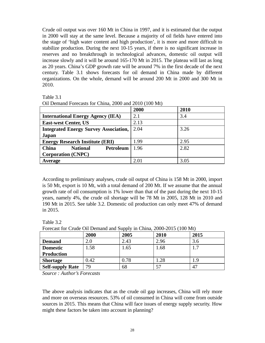Crude oil output was over 160 Mt in China in 1997, and it is estimated that the output in 2000 will stay at the same level. Because a majority of oil fields have entered into the stage of 'high water content and high production', it is more and more difficult to stabilize production. During the next 10-15 years, if there is no significant increase in reserves and no breakthrough in technological advances, domestic oil output will increase slowly and it will be around 165-170 Mt in 2015. The plateau will last as long as 20 years. China's GDP growth rate will be around 7% in the first decade of the next century. Table 3.1 shows forecasts for oil demand in China made by different organizations. On the whole, demand will be around 200 Mt in 2000 and 300 Mt in 2010.

Table 3.1

|                                                     | 2000 | 2010 |
|-----------------------------------------------------|------|------|
| <b>International Energy Agency (IEA)</b>            | 2.1  | 3.4  |
| <b>East-west Center, US</b>                         | 2.13 |      |
| <b>Integrated Energy Survey Association,</b>        | 2.04 | 3.26 |
| <b>Japan</b>                                        |      |      |
| <b>Energy Research Institute (ERI)</b>              | 1.99 | 2.95 |
| <b>China</b><br><b>Petroleum</b><br><b>National</b> | 1.96 | 2.82 |
| <b>Corporation (CNPC)</b>                           |      |      |
| <b>Average</b>                                      | 2.01 | 3.05 |

Oil Demand Forecasts for China, 2000 and 2010 (100 Mt)

According to preliminary analyses, crude oil output of China is 158 Mt in 2000, import is 50 Mt, export is 10 Mt, with a total demand of 200 Mt. If we assume that the annual growth rate of oil consumption is 1% lower than that of the past during the next 10-15 years, namely 4%, the crude oil shortage will be 78 Mt in 2005, 128 Mt in 2010 and 190 Mt in 2015. See table 3.2. Domestic oil production can only meet 47% of demand in 2015.

| Forecast for Crude Oil Demand and Supply in China, 2000-2015 (100 Mt) |      |      |      |      |  |
|-----------------------------------------------------------------------|------|------|------|------|--|
|                                                                       | 2000 | 2005 | 2010 | 2015 |  |
| <b>Demand</b>                                                         | 2.0  | 2.43 | 2.96 | 3.6  |  |
| <b>Domestic</b>                                                       | 1.58 | 1.65 | 1.68 | 17   |  |
| <b>Production</b>                                                     |      |      |      |      |  |
| <b>Shortage</b>                                                       | 0.42 | 0.78 | 1.28 | 1.9  |  |
| <b>Self-supply Rate</b>                                               | 79   | 68   | 57   | 47   |  |

Table 3.2

Forecast for Crude Oil Demand and Supply in China, 2000-2015 (100 Mt)

*Source : Author's Forecasts*

The above analysis indicates that as the crude oil gap increases, China will rely more and more on overseas resources. 53% of oil consumed in China will come from outside sources in 2015. This means that China will face issues of energy supply security. How might these factors be taken into account in planning?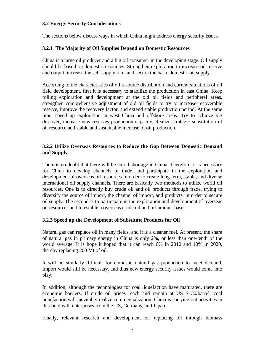#### **3.2 Energy Security Considerations**

The sections below discuss ways in which China might address energy security issues.

#### **3.2.1 The Majority of Oil Supplies Depend on Domestic Resources**

China is a large oil producer and a big oil consumer in the developing stage. Oil supply should be based on domestic resources. Strengthen exploration to increase oil reserve and output, increase the self-supply rate, and secure the basic domestic oil supply.

According to the characteristics of oil resource distribution and current situations of oil field development, first it is necessary to stabilize the production in east China. Keep rolling exploration and development at the old oil fields and peripheral areas, strengthen comprehensive adjustment of old oil fields to try to increase recoverable reserve, improve the recovery factor, and extend stable production period. At the same time, speed up exploration in west China and offshore areas. Try to achieve big discover, increase new reserves production capacity. Realize strategic substitution of oil resource and stable and sustainable increase of oil production.

#### **3.2.2 Utilize Overseas Resources to Reduce the Gap Between Domestic Demand and Supply**

There is no doubt that there will be an oil shortage in China. Therefore, it is necessary for China to develop channels of trade, and participate in the exploration and development of overseas oil resources in order to create long-term, stable, and diverse international oil supply channels. There are basically two methods to utilize world oil resources. One is to directly buy crude oil and oil products through trade, trying to diversify the source of import, the channel of import, and products, in order to secure oil supply. The second is to participate in the exploration and development of overseas oil resources and to establish overseas crude oil and oil product bases.

#### **3.2.3 Speed up the Development of Substitute Products for Oil**

Natural gas can replace oil in many fields, and it is a cleaner fuel. At present, the share of natural gas in primary energy in China is only 2%, or less than one-tenth of the world average. It is hope it hoped that it can reach 6% in 2010 and 10% in 2020, thereby replacing 200 Mt of oil.

It will be similarly difficult for domestic natural gas production to meet demand. Import would still be necessary, and thus new energy security issues would come into play.

In addition, although the technologies for coal liquefaction have maturated, there are economic barriers. If crude oil prices reach and remain at US \$ 30/barrel, coal liquefaction will inevitably realize commercialization. China is carrying out activities in this field with enterprises from the US, Germany, and Japan.

Finally, relevant research and development on replacing oil through biomass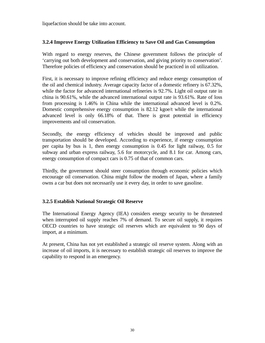liquefaction should be take into account.

#### **3.2.4 Improve Energy Utilization Efficiency to Save Oil and Gas Consumption**

With regard to energy reserves, the Chinese government follows the principle of 'carrying out both development and conservation, and giving priority to conservation'. Therefore policies of efficiency and conservation should be practiced in oil utilization.

First, it is necessary to improve refining efficiency and reduce energy consumption of the oil and chemical industry. Average capacity factor of a domestic refinery is 67.32%, while the factor for advanced international refineries is 92.7%. Light oil output rate in china is 90.61%, while the advanced international output rate is 93.61%. Rate of loss from processing is 1.46% in China while the international advanced level is 0.2%. Domestic comprehensive energy consumption is 82.12 kgoe/t while the international advanced level is only 66.18% of that. There is great potential in efficiency improvements and oil conservation.

Secondly, the energy efficiency of vehicles should be improved and public transportation should be developed. According to experience, if energy consumption per capita by bus is 1, then energy consumption is 0.45 for light railway, 0.5 for subway and urban express railway, 5.6 for motorcycle, and 8.1 for car. Among cars, energy consumption of compact cars is 0.75 of that of common cars.

Thirdly, the government should steer consumption through economic policies which encourage oil conservation. China might follow the modem of Japan, where a family owns a car but does not necessarily use it every day, in order to save gasoline.

#### **3.2.5 Establish National Strategic Oil Reserve**

The International Energy Agency (IEA) considers energy security to be threatened when interrupted oil supply reaches 7% of demand. To secure oil supply, it requires OECD countries to have strategic oil reserves which are equivalent to 90 days of import, at a minimum.

At present, China has not yet established a strategic oil reserve system. Along with an increase of oil imports, it is necessary to establish strategic oil reserves to improve the capability to respond in an emergency.